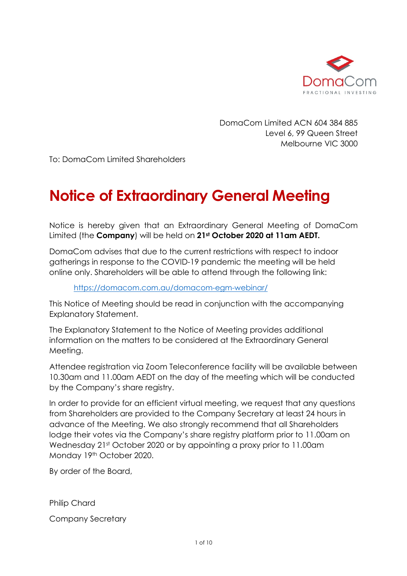

DomaCom Limited ACN 604 384 885 Level 6, 99 Queen Street Melbourne VIC 3000

To: DomaCom Limited Shareholders

# **Notice of Extraordinary General Meeting**

Notice is hereby given that an Extraordinary General Meeting of DomaCom Limited (the **Company**) will be held on **21st October 2020 at 11am AEDT.** 

DomaCom advises that due to the current restrictions with respect to indoor gatherings in response to the COVID-19 pandemic the meeting will be held online only. Shareholders will be able to attend through the following link:

<https://domacom.com.au/domacom-egm-webinar/>

This Notice of Meeting should be read in conjunction with the accompanying Explanatory Statement.

The Explanatory Statement to the Notice of Meeting provides additional information on the matters to be considered at the Extraordinary General Meeting.

Attendee registration via Zoom Teleconference facility will be available between 10.30am and 11.00am AEDT on the day of the meeting which will be conducted by the Company's share registry.

In order to provide for an efficient virtual meeting, we request that any questions from Shareholders are provided to the Company Secretary at least 24 hours in advance of the Meeting. We also strongly recommend that all Shareholders lodge their votes via the Company's share registry platform prior to 11.00am on Wednesday 21st October 2020 or by appointing a proxy prior to 11.00am Monday 19th October 2020.

By order of the Board,

Philip Chard

Company Secretary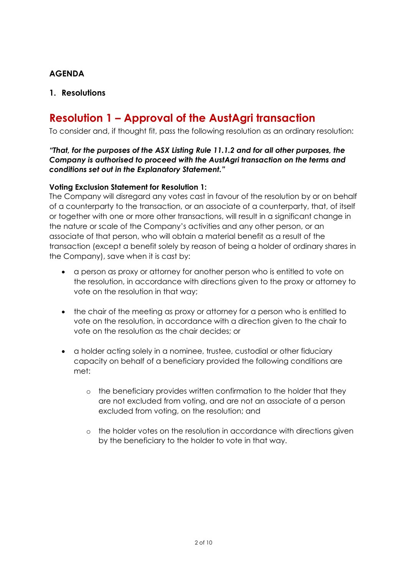## **AGENDA**

## **1. Resolutions**

# **Resolution 1 – Approval of the AustAgri transaction**

To consider and, if thought fit, pass the following resolution as an ordinary resolution:

#### *"That, for the purposes of the ASX Listing Rule 11.1.2 and for all other purposes, the Company is authorised to proceed with the AustAgri transaction on the terms and conditions set out in the Explanatory Statement."*

#### **Voting Exclusion Statement for Resolution 1:**

The Company will disregard any votes cast in favour of the resolution by or on behalf of a counterparty to the transaction, or an associate of a counterparty, that, of itself or together with one or more other transactions, will result in a significant change in the nature or scale of the Company's activities and any other person, or an associate of that person, who will obtain a material benefit as a result of the transaction (except a benefit solely by reason of being a holder of ordinary shares in the Company), save when it is cast by:

- a person as proxy or attorney for another person who is entitled to vote on the resolution, in accordance with directions given to the proxy or attorney to vote on the resolution in that way;
- the chair of the meeting as proxy or attorney for a person who is entitled to vote on the resolution, in accordance with a direction given to the chair to vote on the resolution as the chair decides; or
- a holder acting solely in a nominee, trustee, custodial or other fiduciary capacity on behalf of a beneficiary provided the following conditions are met:
	- o the beneficiary provides written confirmation to the holder that they are not excluded from voting, and are not an associate of a person excluded from voting, on the resolution; and
	- o the holder votes on the resolution in accordance with directions given by the beneficiary to the holder to vote in that way.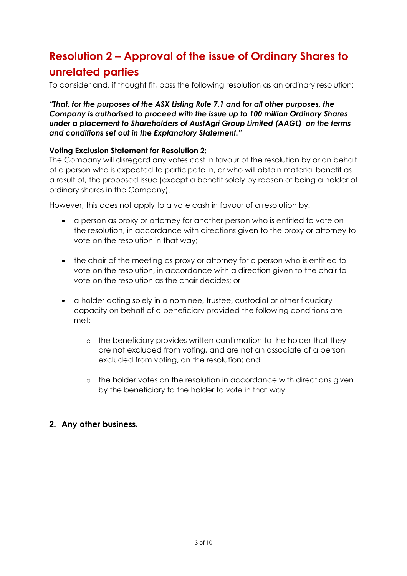# **Resolution 2 – Approval of the issue of Ordinary Shares to unrelated parties**

To consider and, if thought fit, pass the following resolution as an ordinary resolution:

#### *"That, for the purposes of the ASX Listing Rule 7.1 and for all other purposes, the Company is authorised to proceed with the issue up to 100 million Ordinary Shares under a placement to Shareholders of AustAgri Group Limited (AAGL) on the terms and conditions set out in the Explanatory Statement."*

#### **Voting Exclusion Statement for Resolution 2:**

The Company will disregard any votes cast in favour of the resolution by or on behalf of a person who is expected to participate in, or who will obtain material benefit as a result of, the proposed issue (except a benefit solely by reason of being a holder of ordinary shares in the Company).

However, this does not apply to a vote cash in favour of a resolution by:

- a person as proxy or attorney for another person who is entitled to vote on the resolution, in accordance with directions given to the proxy or attorney to vote on the resolution in that way;
- the chair of the meeting as proxy or attorney for a person who is entitled to vote on the resolution, in accordance with a direction given to the chair to vote on the resolution as the chair decides; or
- a holder acting solely in a nominee, trustee, custodial or other fiduciary capacity on behalf of a beneficiary provided the following conditions are met:
	- o the beneficiary provides written confirmation to the holder that they are not excluded from voting, and are not an associate of a person excluded from voting, on the resolution; and
	- o the holder votes on the resolution in accordance with directions given by the beneficiary to the holder to vote in that way.

### **2. Any other business***.*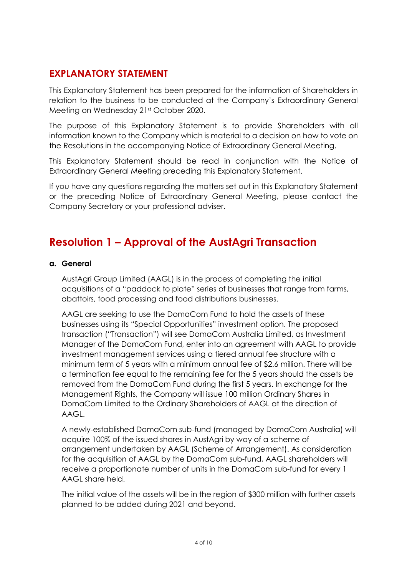# **EXPLANATORY STATEMENT**

This Explanatory Statement has been prepared for the information of Shareholders in relation to the business to be conducted at the Company's Extraordinary General Meeting on Wednesday 21st October 2020.

The purpose of this Explanatory Statement is to provide Shareholders with all information known to the Company which is material to a decision on how to vote on the Resolutions in the accompanying Notice of Extraordinary General Meeting.

This Explanatory Statement should be read in conjunction with the Notice of Extraordinary General Meeting preceding this Explanatory Statement.

If you have any questions regarding the matters set out in this Explanatory Statement or the preceding Notice of Extraordinary General Meeting, please contact the Company Secretary or your professional adviser.

# **Resolution 1 – Approval of the AustAgri Transaction**

#### **a. General**

AustAgri Group Limited (AAGL) is in the process of completing the initial acquisitions of a "paddock to plate" series of businesses that range from farms, abattoirs, food processing and food distributions businesses.

AAGL are seeking to use the DomaCom Fund to hold the assets of these businesses using its "Special Opportunities" investment option. The proposed transaction ("Transaction") will see DomaCom Australia Limited, as Investment Manager of the DomaCom Fund, enter into an agreement with AAGL to provide investment management services using a tiered annual fee structure with a minimum term of 5 years with a minimum annual fee of \$2.6 million. There will be a termination fee equal to the remaining fee for the 5 years should the assets be removed from the DomaCom Fund during the first 5 years. In exchange for the Management Rights, the Company will issue 100 million Ordinary Shares in DomaCom Limited to the Ordinary Shareholders of AAGL at the direction of AAGL.

A newly-established DomaCom sub-fund (managed by DomaCom Australia) will acquire 100% of the issued shares in AustAgri by way of a scheme of arrangement undertaken by AAGL (Scheme of Arrangement). As consideration for the acquisition of AAGL by the DomaCom sub-fund, AAGL shareholders will receive a proportionate number of units in the DomaCom sub-fund for every 1 AAGL share held.

The initial value of the assets will be in the region of \$300 million with further assets planned to be added during 2021 and beyond.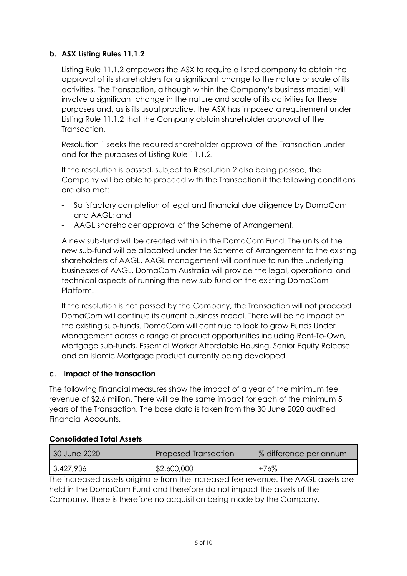### **b. ASX Listing Rules 11.1.2**

Listing Rule 11.1.2 empowers the ASX to require a listed company to obtain the approval of its shareholders for a significant change to the nature or scale of its activities. The Transaction, although within the Company's business model, will involve a significant change in the nature and scale of its activities for these purposes and, as is its usual practice, the ASX has imposed a requirement under Listing Rule 11.1.2 that the Company obtain shareholder approval of the Transaction.

Resolution 1 seeks the required shareholder approval of the Transaction under and for the purposes of Listing Rule 11.1.2.

If the resolution is passed, subject to Resolution 2 also being passed, the Company will be able to proceed with the Transaction if the following conditions are also met:

- Satisfactory completion of legal and financial due diligence by DomaCom and AAGL; and
- AAGL shareholder approval of the Scheme of Arrangement.

A new sub-fund will be created within in the DomaCom Fund. The units of the new sub-fund will be allocated under the Scheme of Arrangement to the existing shareholders of AAGL. AAGL management will continue to run the underlying businesses of AAGL. DomaCom Australia will provide the legal, operational and technical aspects of running the new sub-fund on the existing DomaCom Platform.

If the resolution is not passed by the Company, the Transaction will not proceed. DomaCom will continue its current business model. There will be no impact on the existing sub-funds. DomaCom will continue to look to grow Funds Under Management across a range of product opportunities including Rent-To-Own, Mortgage sub-funds, Essential Worker Affordable Housing, Senior Equity Release and an Islamic Mortgage product currently being developed.

### **c. Impact of the transaction**

The following financial measures show the impact of a year of the minimum fee revenue of \$2.6 million. There will be the same impact for each of the minimum 5 years of the Transaction. The base data is taken from the 30 June 2020 audited Financial Accounts.

| 30 June 2020 | Proposed Transaction | √% difference per annum |
|--------------|----------------------|-------------------------|
| 3,427,936    | \$2,600,000          | $+76%$                  |

#### **Consolidated Total Assets**

The increased assets originate from the increased fee revenue. The AAGL assets are held in the DomaCom Fund and therefore do not impact the assets of the Company. There is therefore no acquisition being made by the Company.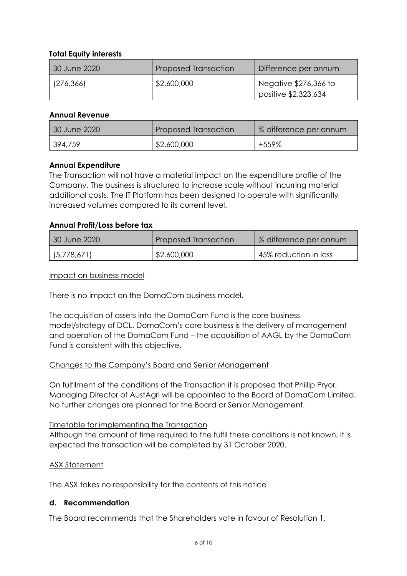#### **Total Equity interests**

| 30 June 2020 | <b>Proposed Transaction</b> | Difference per annum                          |
|--------------|-----------------------------|-----------------------------------------------|
| (276, 366)   | \$2,600,000                 | Negative \$276,366 to<br>positive \$2,323,634 |

#### **Annual Revenue**

| 30 June 2020 | Proposed Transaction | % difference per annum |
|--------------|----------------------|------------------------|
| 394,759      | \$2,600,000          | +559%                  |

#### **Annual Expenditure**

The Transaction will not have a material impact on the expenditure profile of the Company. The business is structured to increase scale without incurring material additional costs. The IT Platform has been designed to operate with significantly increased volumes compared to its current level.

#### **Annual Profit/Loss before tax**

| 30 June 2020 | <b>Proposed Transaction</b> | % difference per annum |
|--------------|-----------------------------|------------------------|
| (5,778,671)  | \$2,600,000                 | 45% reduction in loss  |

Impact on business model

There is no impact on the DomaCom business model.

The acquisition of assets into the DomaCom Fund is the core business model/strategy of DCL. DomaCom's core business is the delivery of management and operation of the DomaCom Fund – the acquisition of AAGL by the DomaCom Fund is consistent with this objective.

#### Changes to the Company's Board and Senior Management

On fulfilment of the conditions of the Transaction it is proposed that Phillip Pryor, Managing Director of AustAgri will be appointed to the Board of DomaCom Limited. No further changes are planned for the Board or Senior Management.

#### Timetable for implementing the Transaction

Although the amount of time required to the fulfil these conditions is not known, it is expected the transaction will be completed by 31 October 2020.

#### ASX Statement

The ASX takes no responsibility for the contents of this notice

#### **d. Recommendation**

The Board recommends that the Shareholders vote in favour of Resolution 1.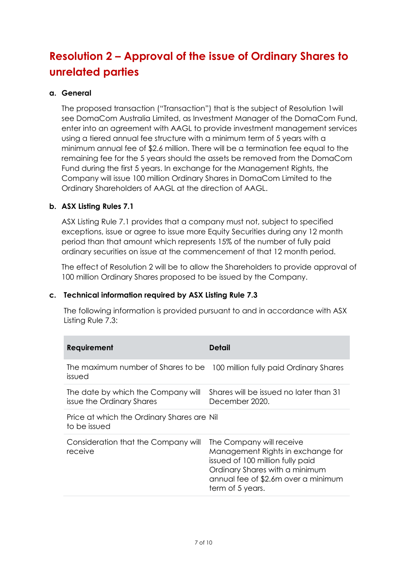# **Resolution 2 – Approval of the issue of Ordinary Shares to unrelated parties**

#### **a. General**

The proposed transaction ("Transaction") that is the subject of Resolution 1will see DomaCom Australia Limited, as Investment Manager of the DomaCom Fund, enter into an agreement with AAGL to provide investment management services using a tiered annual fee structure with a minimum term of 5 years with a minimum annual fee of \$2.6 million. There will be a termination fee equal to the remaining fee for the 5 years should the assets be removed from the DomaCom Fund during the first 5 years. In exchange for the Management Rights, the Company will issue 100 million Ordinary Shares in DomaCom Limited to the Ordinary Shareholders of AAGL at the direction of AAGL.

#### **b. ASX Listing Rules 7.1**

ASX Listing Rule 7.1 provides that a company must not, subject to specified exceptions, issue or agree to issue more Equity Securities during any 12 month period than that amount which represents 15% of the number of fully paid ordinary securities on issue at the commencement of that 12 month period.

The effect of Resolution 2 will be to allow the Shareholders to provide approval of 100 million Ordinary Shares proposed to be issued by the Company.

#### **c. Technical information required by ASX Listing Rule 7.3**

The following information is provided pursuant to and in accordance with ASX Listing Rule 7.3:

| Requirement                                                                         | Detail                                                                                                                                                                                         |
|-------------------------------------------------------------------------------------|------------------------------------------------------------------------------------------------------------------------------------------------------------------------------------------------|
| The maximum number of Shares to be 100 million fully paid Ordinary Shares<br>issued |                                                                                                                                                                                                |
| The date by which the Company will<br>issue the Ordinary Shares                     | Shares will be issued no later than 31<br>December 2020.                                                                                                                                       |
| Price at which the Ordinary Shares are Nil<br>to be issued                          |                                                                                                                                                                                                |
| Consideration that the Company will<br>receive                                      | The Company will receive<br>Management Rights in exchange for<br>issued of 100 million fully paid<br>Ordinary Shares with a minimum<br>annual fee of \$2.6m over a minimum<br>term of 5 years. |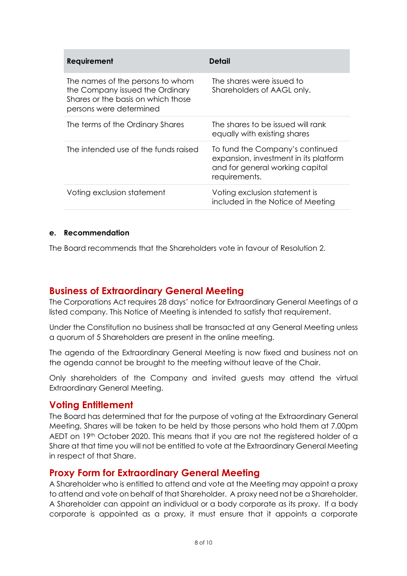| <b>Requirement</b>                                                                                                                   | Detail                                                                                                                       |
|--------------------------------------------------------------------------------------------------------------------------------------|------------------------------------------------------------------------------------------------------------------------------|
| The names of the persons to whom<br>the Company issued the Ordinary<br>Shares or the basis on which those<br>persons were determined | The shares were issued to<br>Shareholders of AAGL only.                                                                      |
| The terms of the Ordinary Shares                                                                                                     | The shares to be issued will rank<br>equally with existing shares                                                            |
| The intended use of the funds raised                                                                                                 | To fund the Company's continued<br>expansion, investment in its platform<br>and for general working capital<br>requirements. |
| Voting exclusion statement                                                                                                           | Voting exclusion statement is<br>included in the Notice of Meeting                                                           |

#### **e. Recommendation**

The Board recommends that the Shareholders vote in favour of Resolution 2.

# **Business of Extraordinary General Meeting**

The Corporations Act requires 28 days' notice for Extraordinary General Meetings of a listed company. This Notice of Meeting is intended to satisfy that requirement.

Under the Constitution no business shall be transacted at any General Meeting unless a quorum of 5 Shareholders are present in the online meeting.

The agenda of the Extraordinary General Meeting is now fixed and business not on the agenda cannot be brought to the meeting without leave of the Chair.

Only shareholders of the Company and invited guests may attend the virtual Extraordinary General Meeting.

### **Voting Entitlement**

The Board has determined that for the purpose of voting at the Extraordinary General Meeting, Shares will be taken to be held by those persons who hold them at 7.00pm AEDT on 19th October 2020. This means that if you are not the registered holder of a Share at that time you will not be entitled to vote at the Extraordinary General Meeting in respect of that Share.

# **Proxy Form for Extraordinary General Meeting**

A Shareholder who is entitled to attend and vote at the Meeting may appoint a proxy to attend and vote on behalf of that Shareholder. A proxy need not be a Shareholder. A Shareholder can appoint an individual or a body corporate as its proxy. If a body corporate is appointed as a proxy, it must ensure that it appoints a corporate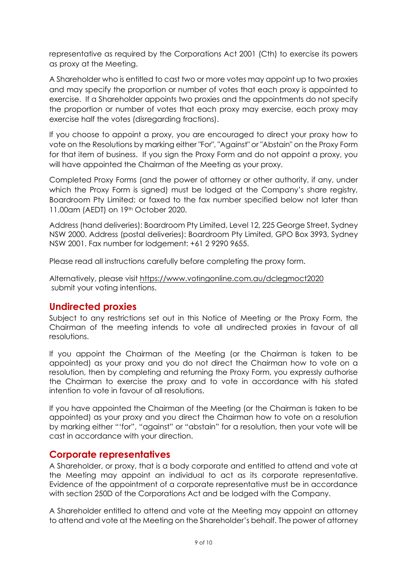representative as required by the Corporations Act 2001 (Cth) to exercise its powers as proxy at the Meeting.

A Shareholder who is entitled to cast two or more votes may appoint up to two proxies and may specify the proportion or number of votes that each proxy is appointed to exercise. If a Shareholder appoints two proxies and the appointments do not specify the proportion or number of votes that each proxy may exercise, each proxy may exercise half the votes (disregarding fractions).

If you choose to appoint a proxy, you are encouraged to direct your proxy how to vote on the Resolutions by marking either "For", "Against" or "Abstain" on the Proxy Form for that item of business. If you sign the Proxy Form and do not appoint a proxy, you will have appointed the Chairman of the Meeting as your proxy.

Completed Proxy Forms (and the power of attorney or other authority, if any, under which the Proxy Form is signed) must be lodged at the Company's share registry, Boardroom Pty Limited; or faxed to the fax number specified below not later than 11.00am (AEDT) on 19th October 2020.

Address (hand deliveries): Boardroom Pty Limited, Level 12, 225 George Street, Sydney NSW 2000. Address (postal deliveries): Boardroom Pty Limited, GPO Box 3993, Sydney NSW 2001. Fax number for lodgement: +61 2 9290 9655.

Please read all instructions carefully before completing the proxy form.

Alternatively, please visit https://www.votingonline.com.au/dclegmoct2020 submit your voting intentions.

# **Undirected proxies**

Subject to any restrictions set out in this Notice of Meeting or the Proxy Form, the Chairman of the meeting intends to vote all undirected proxies in favour of all resolutions.

If you appoint the Chairman of the Meeting (or the Chairman is taken to be appointed) as your proxy and you do not direct the Chairman how to vote on a resolution, then by completing and returning the Proxy Form, you expressly authorise the Chairman to exercise the proxy and to vote in accordance with his stated intention to vote in favour of all resolutions.

If you have appointed the Chairman of the Meeting (or the Chairman is taken to be appointed) as your proxy and you direct the Chairman how to vote on a resolution by marking either "'for", "against" or "abstain" for a resolution, then your vote will be cast in accordance with your direction.

# **Corporate representatives**

A Shareholder, or proxy, that is a body corporate and entitled to attend and vote at the Meeting may appoint an individual to act as its corporate representative. Evidence of the appointment of a corporate representative must be in accordance with section 250D of the Corporations Act and be lodged with the Company.

A Shareholder entitled to attend and vote at the Meeting may appoint an attorney to attend and vote at the Meeting on the Shareholder's behalf. The power of attorney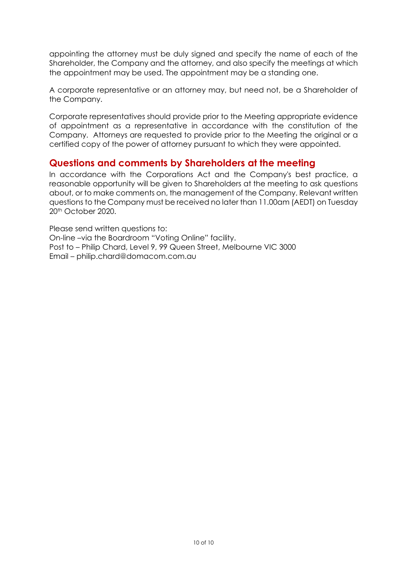appointing the attorney must be duly signed and specify the name of each of the Shareholder, the Company and the attorney, and also specify the meetings at which the appointment may be used. The appointment may be a standing one.

A corporate representative or an attorney may, but need not, be a Shareholder of the Company.

Corporate representatives should provide prior to the Meeting appropriate evidence of appointment as a representative in accordance with the constitution of the Company. Attorneys are requested to provide prior to the Meeting the original or a certified copy of the power of attorney pursuant to which they were appointed.

# **Questions and comments by Shareholders at the meeting**

In accordance with the Corporations Act and the Company's best practice, a reasonable opportunity will be given to Shareholders at the meeting to ask questions about, or to make comments on, the management of the Company. Relevant written questions to the Company must be received no later than 11.00am (AEDT) on Tuesday 20th October 2020.

Please send written questions to: On-line –via the Boardroom "Voting Online" facility. Post to – Philip Chard, Level 9, 99 Queen Street, Melbourne VIC 3000 Email – philip.chard@domacom.com.au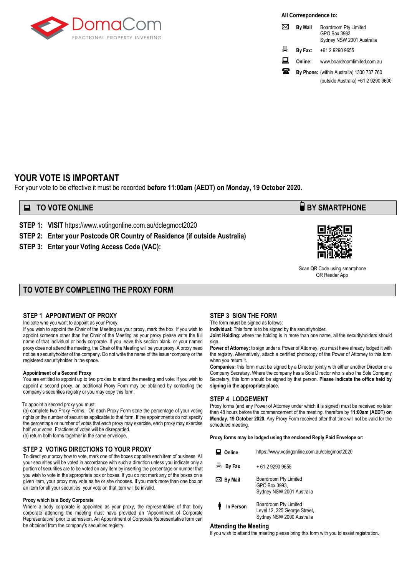

**All Correspondence to:**

|    | <b>By Mail</b> | Boardroom Pty Limited<br>GPO Box 3993<br>Sydney NSW 2001 Australia |
|----|----------------|--------------------------------------------------------------------|
| ä. | By Fax:        | +61 2 9290 9655                                                    |
| ᇦ  | Online:        | www.boardroomlimited.com.au                                        |
| ж  |                | By Phone: (within Australia) 1300 737 760                          |

(outside Australia) +61 2 9290 9600

### **YOUR VOTE IS IMPORTANT**

For your vote to be effective it must be recorded **before 11:00am (AEDT) on Monday, 19 October 2020.**

#### **TO VOTE ONLINE BY SMARTPHONE**

**STEP 1: VISIT** https://www.votingonline.com.au/dclegmoct2020

**STEP 2: Enter your Postcode OR Country of Residence (if outside Australia)**

**STEP 3: Enter your Voting Access Code (VAC):**



 Scan QR Code using smartphone QR Reader App

#### **TO VOTE BY COMPLETING THE PROXY FORM**

#### **STEP 1 APPOINTMENT OF PROXY**

Indicate who you want to appoint as your Proxy.

If you wish to appoint the Chair of the Meeting as your proxy, mark the box. If you wish to appoint someone other than the Chair of the Meeting as your proxy please write the full name of that individual or body corporate. If you leave this section blank, or your named proxy does not attend the meeting, the Chair of the Meeting will be your proxy. A proxy need not be a securityholder of the company. Do not write the name of the issuer company or the registered securityholder in the space.

#### **Appointment of a Second Proxy**

You are entitled to appoint up to two proxies to attend the meeting and vote. If you wish to appoint a second proxy, an additional Proxy Form may be obtained by contacting the company's securities registry or you may copy this form.

#### To appoint a second proxy you must:

(a) complete two Proxy Forms. On each Proxy Form state the percentage of your voting rights or the number of securities applicable to that form. If the appointments do not specify the percentage or number of votes that each proxy may exercise, each proxy may exercise half your votes. Fractions of votes will be disregarded. (b) return both forms together in the same envelope.

an item for all your securities your vote on that item will be invalid.

**STEP 2 VOTING DIRECTIONS TO YOUR PROXY** To direct your proxy how to vote, mark one of the boxes opposite each item of business. All your securities will be voted in accordance with such a direction unless you indicate only a portion of securities are to be voted on any item by inserting the percentage or number that you wish to vote in the appropriate box or boxes. If you do not mark any of the boxes on a given item, your proxy may vote as he or she chooses. If you mark more than one box on

#### **Proxy which is a Body Corporate**

Where a body corporate is appointed as your proxy, the representative of that body corporate attending the meeting must have provided an "Appointment of Corporate Representative" prior to admission. An Appointment of Corporate Representative form can be obtained from the company's securities registry.

#### **STEP 3 SIGN THE FORM**

The form **must** be signed as follows:

**Individual:** This form is to be signed by the securityholder.

**Joint Holding**: where the holding is in more than one name, all the securityholders should sign.

**Power of Attorney:** to sign under a Power of Attorney, you must have already lodged it with the registry. Alternatively, attach a certified photocopy of the Power of Attorney to this form when you return it.

**Companies:** this form must be signed by a Director jointly with either another Director or a Company Secretary. Where the company has a Sole Director who is also the Sole Company Secretary, this form should be signed by that person. **Please indicate the office held by signing in the appropriate place.**

#### **STEP 4 LODGEMENT**

Proxy forms (and any Power of Attorney under which it is signed) must be received no later than 48 hours before the commencement of the meeting, therefore by **11:00am (AEDT) on Monday, 19 October 2020.** Any Proxy Form received after that time will not be valid for the scheduled meeting.

**Proxy forms may be lodged using the enclosed Reply Paid Envelope or:**

| Online              | https://www.votingonline.com.au/dclegmoct2020                                      |
|---------------------|------------------------------------------------------------------------------------|
| 昌<br>By Fax         | + 61 2 9290 9655                                                                   |
| $\boxtimes$ By Mail | Boardroom Pty Limited<br>GPO Box 3993,<br>Sydney NSW 2001 Australia                |
| In Person           | Boardroom Pty Limited<br>Level 12, 225 George Street,<br>Sydney NSW 2000 Australia |

#### **Attending the Meeting**

If you wish to attend the meeting please bring this form with you to assist registration**.**